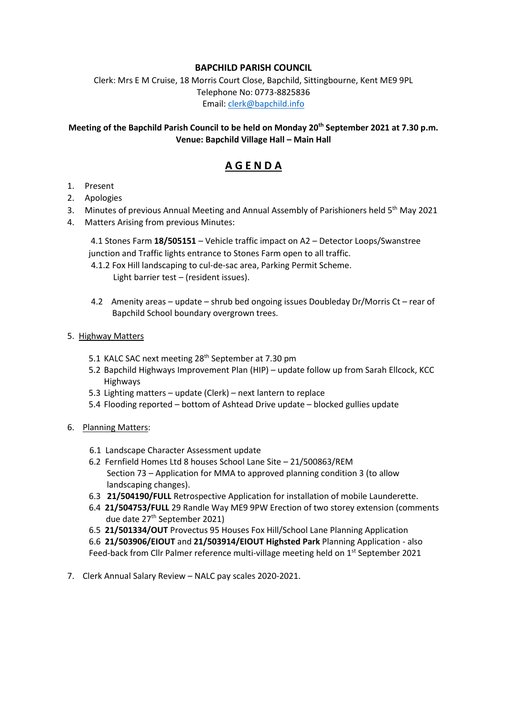### **BAPCHILD PARISH COUNCIL**

Clerk: Mrs E M Cruise, 18 Morris Court Close, Bapchild, Sittingbourne, Kent ME9 9PL Telephone No: 0773-8825836 Email: [clerk@bapchild.info](mailto:clerk@bapchild.info)

### **Meeting of the Bapchild Parish Council to be held on Monday 20th September 2021 at 7.30 p.m. Venue: Bapchild Village Hall – Main Hall**

# **A G E N D A**

- 1. Present
- 2. Apologies
- 3. Minutes of previous Annual Meeting and Annual Assembly of Parishioners held 5<sup>th</sup> May 2021
- 4. Matters Arising from previous Minutes:

4.1 Stones Farm **18/505151** – Vehicle traffic impact on A2 – Detector Loops/Swanstree junction and Traffic lights entrance to Stones Farm open to all traffic.

- 4.1.2 Fox Hill landscaping to cul-de-sac area, Parking Permit Scheme. Light barrier test – (resident issues).
- 4.2 Amenity areas update shrub bed ongoing issues Doubleday Dr/Morris Ct rear of Bapchild School boundary overgrown trees.
- 5. Highway Matters
	- 5.1 KALC SAC next meeting 28<sup>th</sup> September at 7.30 pm
	- 5.2 Bapchild Highways Improvement Plan (HIP) update follow up from Sarah Ellcock, KCC Highways
	- 5.3 Lighting matters update (Clerk) next lantern to replace
	- 5.4 Flooding reported bottom of Ashtead Drive update blocked gullies update
- 6. Planning Matters:
	- 6.1 Landscape Character Assessment update
	- 6.2 Fernfield Homes Ltd 8 houses School Lane Site 21/500863/REM Section 73 – Application for MMA to approved planning condition 3 (to allow landscaping changes).
	- 6.3 **21/504190/FULL** Retrospective Application for installation of mobile Launderette.
	- 6.4 **21/504753/FULL** 29 Randle Way ME9 9PW Erection of two storey extension (comments due date 27th September 2021)

6.5 **21/501334/OUT** Provectus 95 Houses Fox Hill/School Lane Planning Application

 6.6 **21/503906/EIOUT** and **21/503914/EIOUT Highsted Park** Planning Application - also Feed-back from Cllr Palmer reference multi-village meeting held on 1<sup>st</sup> September 2021

7. Clerk Annual Salary Review – NALC pay scales 2020-2021.